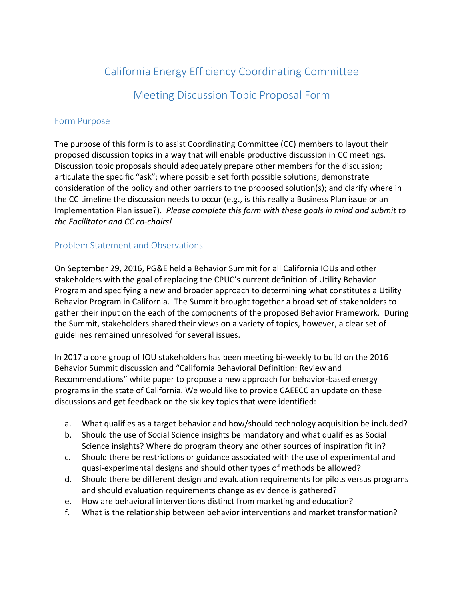# California Energy Efficiency Coordinating Committee

Meeting Discussion Topic Proposal Form

### Form Purpose

The purpose of this form is to assist Coordinating Committee (CC) members to layout their proposed discussion topics in a way that will enable productive discussion in CC meetings. Discussion topic proposals should adequately prepare other members for the discussion; articulate the specific "ask"; where possible set forth possible solutions; demonstrate consideration of the policy and other barriers to the proposed solution(s); and clarify where in the CC timeline the discussion needs to occur (e.g., is this really a Business Plan issue or an Implementation Plan issue?). *Please complete this form with these goals in mind and submit to the Facilitator and CC co-chairs!*

## Problem Statement and Observations

On September 29, 2016, PG&E held a Behavior Summit for all California IOUs and other stakeholders with the goal of replacing the CPUC's current definition of Utility Behavior Program and specifying a new and broader approach to determining what constitutes a Utility Behavior Program in California. The Summit brought together a broad set of stakeholders to gather their input on the each of the components of the proposed Behavior Framework. During the Summit, stakeholders shared their views on a variety of topics, however, a clear set of guidelines remained unresolved for several issues.

In 2017 a core group of IOU stakeholders has been meeting bi-weekly to build on the 2016 Behavior Summit discussion and "California Behavioral Definition: Review and Recommendations" white paper to propose a new approach for behavior-based energy programs in the state of California. We would like to provide CAEECC an update on these discussions and get feedback on the six key topics that were identified:

- a. What qualifies as a target behavior and how/should technology acquisition be included?
- b. Should the use of Social Science insights be mandatory and what qualifies as Social Science insights? Where do program theory and other sources of inspiration fit in?
- c. Should there be restrictions or guidance associated with the use of experimental and quasi-experimental designs and should other types of methods be allowed?
- d. Should there be different design and evaluation requirements for pilots versus programs and should evaluation requirements change as evidence is gathered?
- e. How are behavioral interventions distinct from marketing and education?
- f. What is the relationship between behavior interventions and market transformation?